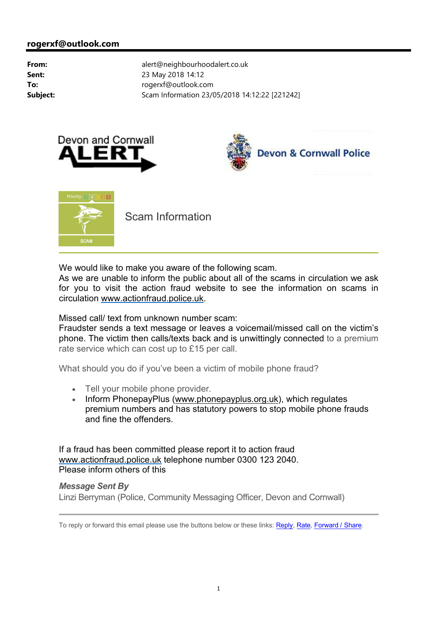





Scam Information

We would like to make you aware of the following scam.

As we are unable to inform the public about all of the scams in circulation we ask for you to visit the action fraud website to see the information on scams in circulation <www.actionfraud.police.uk>.

Missed call/ text from unknown number scam:

Fraudster sends a text message or leaves a voicemail/missed call on the victim's phone. The victim then calls/texts back and is unwittingly connected to a premium rate service which can cost up to £15 per call.

What should you do if you've been a victim of mobile phone fraud?

- Tell your mobile phone provider.
- Inform PhonepayPlus ([www.phonepayplus.org.uk\)](www.phonepayplus.org.uk), which regulates premium numbers and has statutory powers to stop mobile phone frauds and fine the offenders.

If a fraud has been committed please report it to action fraud <www.actionfraud.police.uk> telephone number 0300 123 2040. Please inform others of this

## *Message Sent By*

Linzi Berryman (Police, Community Messaging Officer, Devon and Cornwall)

To reply or forward this email please use the buttons below or these links: Reply, Rate, Forward / Share.